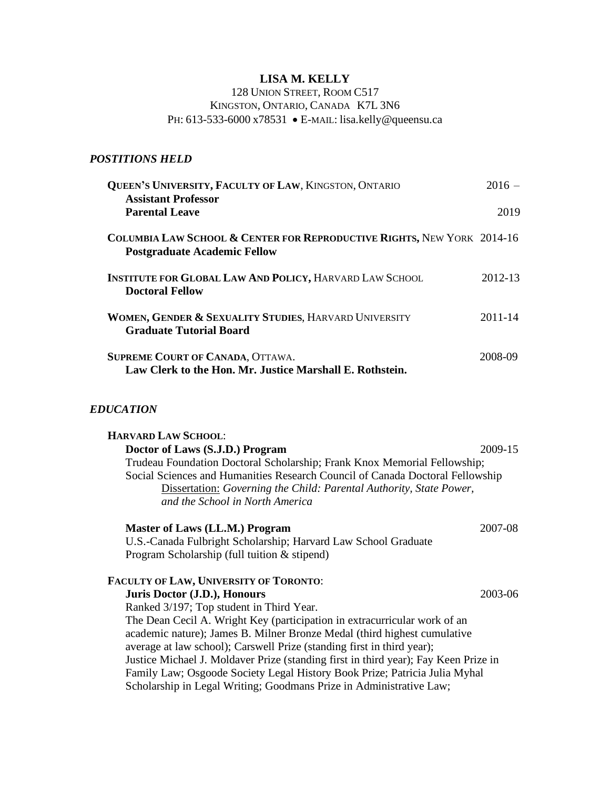# **LISA M. KELLY**

# 128 UNION STREET, ROOM C517 KINGSTON, ONTARIO, CANADA K7L 3N6 PH: 613-533-6000 x78531 • E-MAIL: lisa.kelly@queensu.ca

# *POSTITIONS HELD*

| <b>QUEEN'S UNIVERSITY, FACULTY OF LAW, KINGSTON, ONTARIO</b><br><b>Assistant Professor</b>                               | $2016 -$ |
|--------------------------------------------------------------------------------------------------------------------------|----------|
| <b>Parental Leave</b>                                                                                                    | 2019     |
| <b>COLUMBIA LAW SCHOOL &amp; CENTER FOR REPRODUCTIVE RIGHTS, NEW YORK 2014-16</b><br><b>Postgraduate Academic Fellow</b> |          |
| <b>INSTITUTE FOR GLOBAL LAW AND POLICY, HARVARD LAW SCHOOL</b><br><b>Doctoral Fellow</b>                                 | 2012-13  |
| WOMEN, GENDER & SEXUALITY STUDIES, HARVARD UNIVERSITY<br><b>Graduate Tutorial Board</b>                                  | 2011-14  |
| SUPREME COURT OF CANADA, OTTAWA.<br>Law Clerk to the Hon. Mr. Justice Marshall E. Rothstein.                             | 2008-09  |

## *EDUCATION*

| <b>HARVARD LAW SCHOOL:</b>                                                                                                                                                                                                                                          |         |  |
|---------------------------------------------------------------------------------------------------------------------------------------------------------------------------------------------------------------------------------------------------------------------|---------|--|
| Doctor of Laws (S.J.D.) Program                                                                                                                                                                                                                                     | 2009-15 |  |
| Trudeau Foundation Doctoral Scholarship; Frank Knox Memorial Fellowship;<br>Social Sciences and Humanities Research Council of Canada Doctoral Fellowship<br>Dissertation: Governing the Child: Parental Authority, State Power,<br>and the School in North America |         |  |
| Master of Laws (LL.M.) Program                                                                                                                                                                                                                                      | 2007-08 |  |
| U.S.-Canada Fulbright Scholarship; Harvard Law School Graduate                                                                                                                                                                                                      |         |  |
| Program Scholarship (full tuition & stipend)                                                                                                                                                                                                                        |         |  |
| FACULTY OF LAW, UNIVERSITY OF TORONTO:                                                                                                                                                                                                                              |         |  |
| Juris Doctor (J.D.), Honours                                                                                                                                                                                                                                        | 2003-06 |  |
| Ranked 3/197; Top student in Third Year.                                                                                                                                                                                                                            |         |  |
| The Dean Cecil A. Wright Key (participation in extracurricular work of an                                                                                                                                                                                           |         |  |
| academic nature); James B. Milner Bronze Medal (third highest cumulative                                                                                                                                                                                            |         |  |
| average at law school); Carswell Prize (standing first in third year);                                                                                                                                                                                              |         |  |
| Justice Michael J. Moldaver Prize (standing first in third year); Fay Keen Prize in                                                                                                                                                                                 |         |  |
| Family Law; Osgoode Society Legal History Book Prize; Patricia Julia Myhal                                                                                                                                                                                          |         |  |
| Scholarship in Legal Writing; Goodmans Prize in Administrative Law;                                                                                                                                                                                                 |         |  |
|                                                                                                                                                                                                                                                                     |         |  |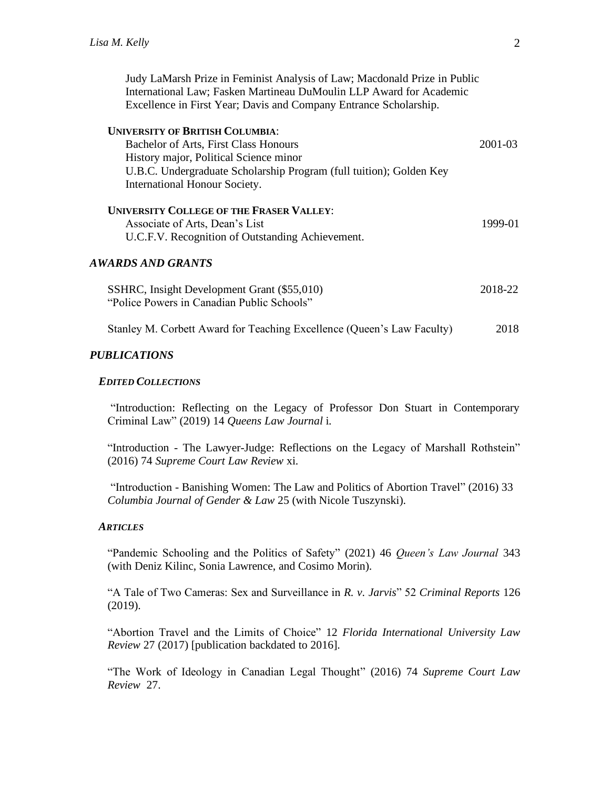Judy LaMarsh Prize in Feminist Analysis of Law; Macdonald Prize in Public International Law; Fasken Martineau DuMoulin LLP Award for Academic Excellence in First Year; Davis and Company Entrance Scholarship.

| <b>UNIVERSITY OF BRITISH COLUMBIA:</b>                                                    |         |
|-------------------------------------------------------------------------------------------|---------|
| Bachelor of Arts, First Class Honours                                                     | 2001-03 |
| History major, Political Science minor                                                    |         |
| U.B.C. Undergraduate Scholarship Program (full tuition); Golden Key                       |         |
| International Honour Society.                                                             |         |
| <b>UNIVERSITY COLLEGE OF THE FRASER VALLEY:</b>                                           |         |
| Associate of Arts, Dean's List                                                            | 1999-01 |
| U.C.F.V. Recognition of Outstanding Achievement.                                          |         |
| AWARDS AND GRANTS                                                                         |         |
| SSHRC, Insight Development Grant (\$55,010)<br>"Police Powers in Canadian Public Schools" | 2018-22 |
| Stanley M. Corbett Award for Teaching Excellence (Queen's Law Faculty)                    | 2018    |

### *PUBLICATIONS*

#### *EDITED COLLECTIONS*

"Introduction: Reflecting on the Legacy of Professor Don Stuart in Contemporary Criminal Law" (2019) 14 *Queens Law Journal* i.

"Introduction - The Lawyer-Judge: Reflections on the Legacy of Marshall Rothstein" (2016) 74 *Supreme Court Law Review* xi.

"Introduction - Banishing Women: The Law and Politics of Abortion Travel" (2016) 33 *Columbia Journal of Gender & Law* 25 (with Nicole Tuszynski).

### *ARTICLES*

"Pandemic Schooling and the Politics of Safety" (2021) 46 *Queen's Law Journal* 343 (with Deniz Kilinc, Sonia Lawrence, and Cosimo Morin).

"A Tale of Two Cameras: Sex and Surveillance in *R. v. Jarvis*" 52 *Criminal Reports* 126 (2019).

"Abortion Travel and the Limits of Choice" 12 *Florida International University Law Review* 27 (2017) [publication backdated to 2016].

"The Work of Ideology in Canadian Legal Thought" (2016) 74 *Supreme Court Law Review* 27.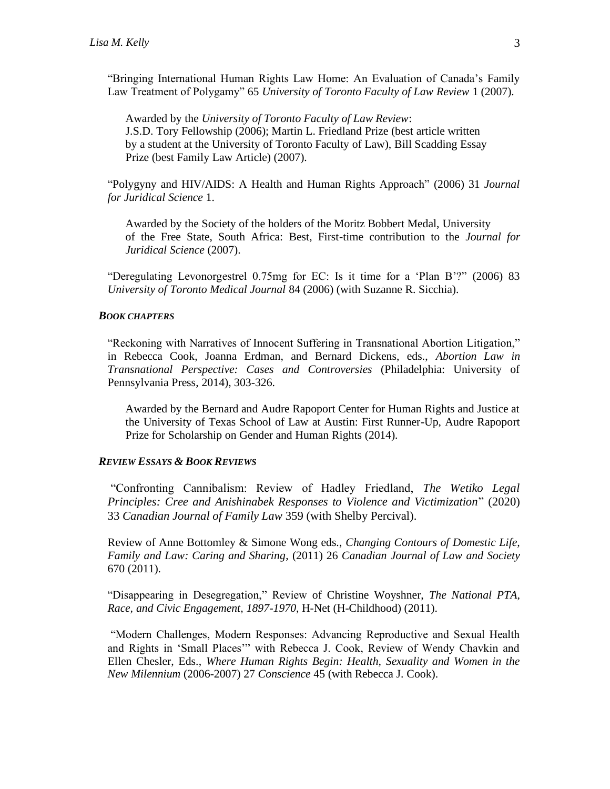"Bringing International Human Rights Law Home: An Evaluation of Canada's Family Law Treatment of Polygamy" 65 *University of Toronto Faculty of Law Review* 1 (2007).

Awarded by the *University of Toronto Faculty of Law Review*: J.S.D. Tory Fellowship (2006); Martin L. Friedland Prize (best article written by a student at the University of Toronto Faculty of Law), Bill Scadding Essay Prize (best Family Law Article) (2007).

"Polygyny and HIV/AIDS: A Health and Human Rights Approach" (2006) 31 *Journal for Juridical Science* 1.

Awarded by the Society of the holders of the Moritz Bobbert Medal, University of the Free State, South Africa: Best, First-time contribution to the *Journal for Juridical Science* (2007).

"Deregulating Levonorgestrel 0.75mg for EC: Is it time for a 'Plan B'?" (2006) 83 *University of Toronto Medical Journal* 84 (2006) (with Suzanne R. Sicchia).

#### *BOOK CHAPTERS*

"Reckoning with Narratives of Innocent Suffering in Transnational Abortion Litigation," in Rebecca Cook, Joanna Erdman, and Bernard Dickens, eds., *Abortion Law in Transnational Perspective: Cases and Controversies* (Philadelphia: University of Pennsylvania Press, 2014), 303-326.

Awarded by the Bernard and Audre Rapoport Center for Human Rights and Justice at the University of Texas School of Law at Austin: First Runner-Up, Audre Rapoport Prize for Scholarship on Gender and Human Rights (2014).

### *REVIEW ESSAYS & BOOK REVIEWS*

"Confronting Cannibalism: Review of Hadley Friedland, *The Wetiko Legal Principles: Cree and Anishinabek Responses to Violence and Victimization*" (2020) 33 *Canadian Journal of Family Law* 359 (with Shelby Percival).

Review of Anne Bottomley & Simone Wong eds., *Changing Contours of Domestic Life, Family and Law: Caring and Sharing*, (2011) 26 *Canadian Journal of Law and Society* 670 (2011).

"Disappearing in Desegregation," Review of Christine Woyshner, *The National PTA, Race, and Civic Engagement, 1897-1970*, H-Net (H-Childhood) (2011).

"Modern Challenges, Modern Responses: Advancing Reproductive and Sexual Health and Rights in 'Small Places'" with Rebecca J. Cook, Review of Wendy Chavkin and Ellen Chesler, Eds., *Where Human Rights Begin: Health, Sexuality and Women in the New Milennium* (2006-2007) 27 *Conscience* 45 (with Rebecca J. Cook).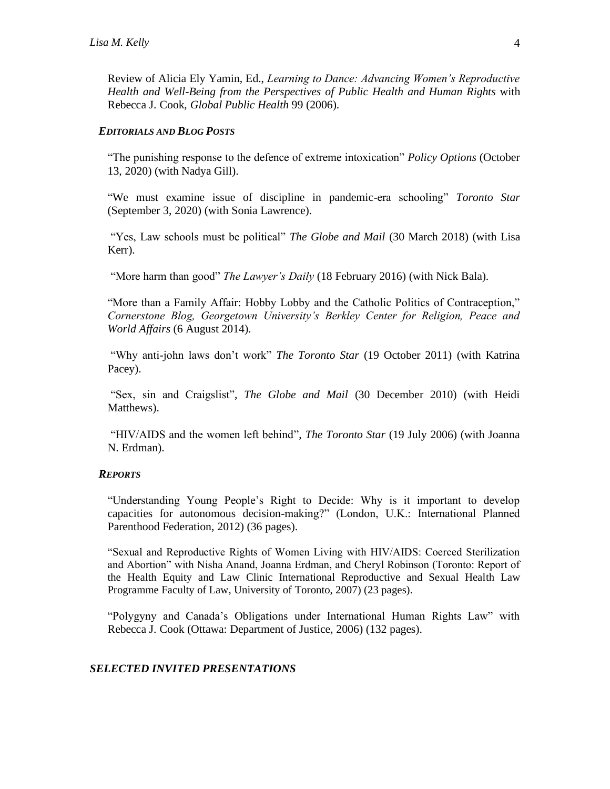Review of Alicia Ely Yamin, Ed., *Learning to Dance: Advancing Women's Reproductive Health and Well-Being from the Perspectives of Public Health and Human Rights* with Rebecca J. Cook, *Global Public Health* 99 (2006).

#### *EDITORIALS AND BLOG POSTS*

"The punishing response to the defence of extreme intoxication" *Policy Options* (October 13, 2020) (with Nadya Gill).

"We must examine issue of discipline in pandemic-era schooling" *Toronto Star* (September 3, 2020) (with Sonia Lawrence).

"Yes, Law schools must be political" *The Globe and Mail* (30 March 2018) (with Lisa Kerr).

"More harm than good" *The Lawyer's Daily* (18 February 2016) (with Nick Bala).

"More than a Family Affair: Hobby Lobby and the Catholic Politics of Contraception," *Cornerstone Blog, Georgetown University's Berkley Center for Religion, Peace and World Affairs* (6 August 2014).

"Why anti-john laws don't work" *The Toronto Star* (19 October 2011) (with Katrina Pacey).

"Sex, sin and Craigslist", *The Globe and Mail* (30 December 2010) (with Heidi Matthews).

"HIV/AIDS and the women left behind", *The Toronto Star* (19 July 2006) (with Joanna N. Erdman).

#### *REPORTS*

"Understanding Young People's Right to Decide: Why is it important to develop capacities for autonomous decision-making?" (London, U.K.: International Planned Parenthood Federation, 2012) (36 pages).

"Sexual and Reproductive Rights of Women Living with HIV/AIDS: Coerced Sterilization and Abortion" with Nisha Anand, Joanna Erdman, and Cheryl Robinson (Toronto: Report of the Health Equity and Law Clinic International Reproductive and Sexual Health Law Programme Faculty of Law, University of Toronto, 2007) (23 pages).

"Polygyny and Canada's Obligations under International Human Rights Law" with Rebecca J. Cook (Ottawa: Department of Justice, 2006) (132 pages).

## *SELECTED INVITED PRESENTATIONS*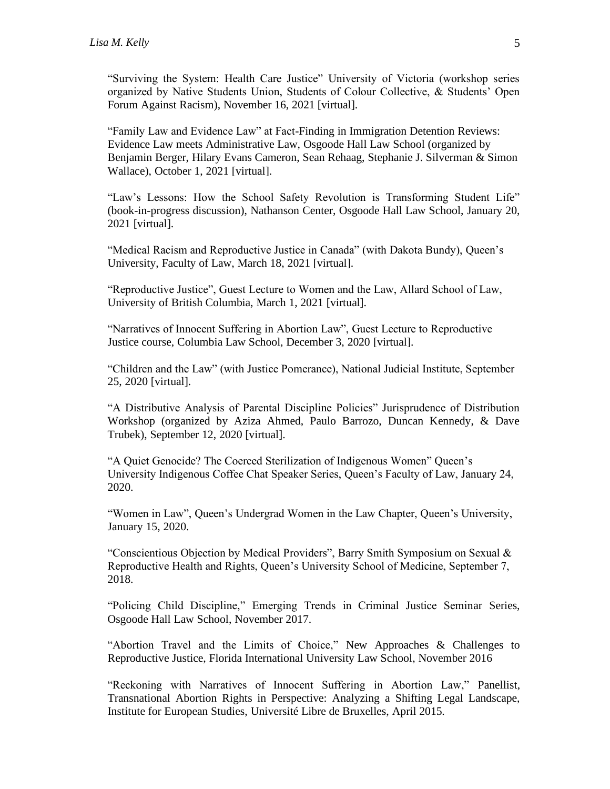"Surviving the System: Health Care Justice" University of Victoria (workshop series organized by Native Students Union, Students of Colour Collective, & Students' Open Forum Against Racism), November 16, 2021 [virtual].

"Family Law and Evidence Law" at Fact-Finding in Immigration Detention Reviews: Evidence Law meets Administrative Law, Osgoode Hall Law School (organized by Benjamin Berger, Hilary Evans Cameron, Sean Rehaag, Stephanie J. Silverman & Simon Wallace), October 1, 2021 [virtual].

"Law's Lessons: How the School Safety Revolution is Transforming Student Life" (book-in-progress discussion), Nathanson Center, Osgoode Hall Law School, January 20, 2021 [virtual].

"Medical Racism and Reproductive Justice in Canada" (with Dakota Bundy), Queen's University, Faculty of Law, March 18, 2021 [virtual].

"Reproductive Justice", Guest Lecture to Women and the Law, Allard School of Law, University of British Columbia, March 1, 2021 [virtual].

"Narratives of Innocent Suffering in Abortion Law", Guest Lecture to Reproductive Justice course, Columbia Law School, December 3, 2020 [virtual].

"Children and the Law" (with Justice Pomerance), National Judicial Institute, September 25, 2020 [virtual].

"A Distributive Analysis of Parental Discipline Policies" Jurisprudence of Distribution Workshop (organized by Aziza Ahmed, Paulo Barrozo, Duncan Kennedy, & Dave Trubek), September 12, 2020 [virtual].

"A Quiet Genocide? The Coerced Sterilization of Indigenous Women" Queen's University Indigenous Coffee Chat Speaker Series, Queen's Faculty of Law, January 24, 2020.

"Women in Law", Queen's Undergrad Women in the Law Chapter, Queen's University, January 15, 2020.

"Conscientious Objection by Medical Providers", Barry Smith Symposium on Sexual & Reproductive Health and Rights, Queen's University School of Medicine, September 7, 2018.

"Policing Child Discipline," Emerging Trends in Criminal Justice Seminar Series, Osgoode Hall Law School, November 2017.

"Abortion Travel and the Limits of Choice," New Approaches & Challenges to Reproductive Justice, Florida International University Law School, November 2016

"Reckoning with Narratives of Innocent Suffering in Abortion Law," Panellist, Transnational Abortion Rights in Perspective: Analyzing a Shifting Legal Landscape, Institute for European Studies, Université Libre de Bruxelles, April 2015.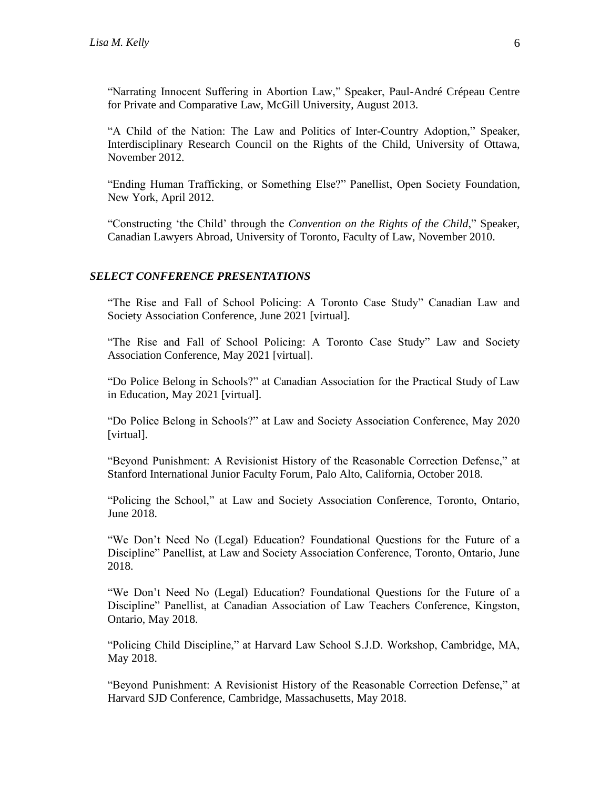"Narrating Innocent Suffering in Abortion Law," Speaker, Paul-André Crépeau Centre for Private and Comparative Law, McGill University, August 2013.

"A Child of the Nation: The Law and Politics of Inter-Country Adoption," Speaker, Interdisciplinary Research Council on the Rights of the Child, University of Ottawa, November 2012.

"Ending Human Trafficking, or Something Else?" Panellist, Open Society Foundation, New York, April 2012.

"Constructing 'the Child' through the *Convention on the Rights of the Child*," Speaker, Canadian Lawyers Abroad, University of Toronto, Faculty of Law, November 2010.

#### *SELECT CONFERENCE PRESENTATIONS*

"The Rise and Fall of School Policing: A Toronto Case Study" Canadian Law and Society Association Conference, June 2021 [virtual].

"The Rise and Fall of School Policing: A Toronto Case Study" Law and Society Association Conference, May 2021 [virtual].

"Do Police Belong in Schools?" at Canadian Association for the Practical Study of Law in Education, May 2021 [virtual].

"Do Police Belong in Schools?" at Law and Society Association Conference, May 2020 [virtual].

"Beyond Punishment: A Revisionist History of the Reasonable Correction Defense," at Stanford International Junior Faculty Forum, Palo Alto, California, October 2018.

"Policing the School," at Law and Society Association Conference, Toronto, Ontario, June 2018.

"We Don't Need No (Legal) Education? Foundational Questions for the Future of a Discipline" Panellist, at Law and Society Association Conference, Toronto, Ontario, June 2018.

"We Don't Need No (Legal) Education? Foundational Questions for the Future of a Discipline" Panellist, at Canadian Association of Law Teachers Conference, Kingston, Ontario, May 2018.

"Policing Child Discipline," at Harvard Law School S.J.D. Workshop, Cambridge, MA, May 2018.

"Beyond Punishment: A Revisionist History of the Reasonable Correction Defense," at Harvard SJD Conference, Cambridge, Massachusetts, May 2018.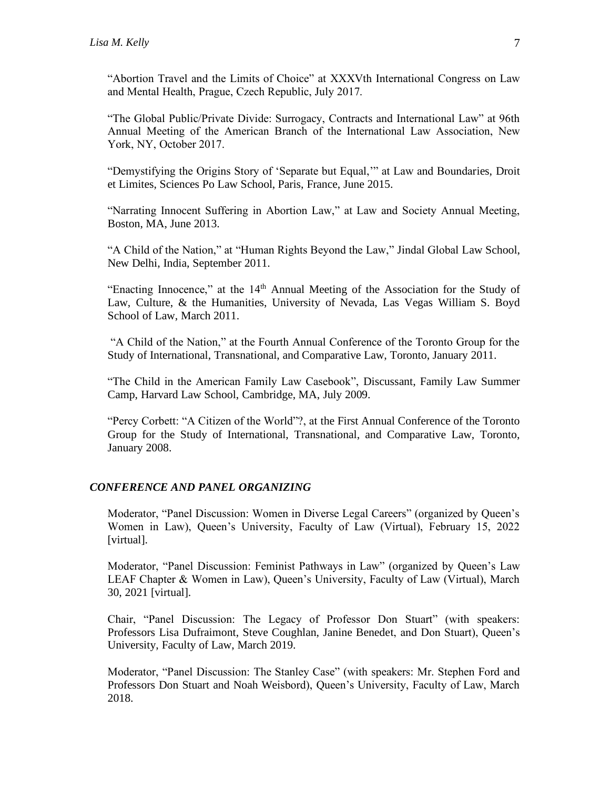"Abortion Travel and the Limits of Choice" at XXXVth International Congress on Law and Mental Health, Prague, Czech Republic, July 2017.

"The Global Public/Private Divide: Surrogacy, Contracts and International Law" at 96th Annual Meeting of the American Branch of the International Law Association, New York, NY, October 2017.

"Demystifying the Origins Story of 'Separate but Equal,'" at Law and Boundaries, Droit et Limites, Sciences Po Law School, Paris, France, June 2015.

"Narrating Innocent Suffering in Abortion Law," at Law and Society Annual Meeting, Boston, MA, June 2013.

"A Child of the Nation," at "Human Rights Beyond the Law," Jindal Global Law School, New Delhi, India, September 2011.

"Enacting Innocence," at the 14<sup>th</sup> Annual Meeting of the Association for the Study of Law, Culture, & the Humanities, University of Nevada, Las Vegas William S. Boyd School of Law, March 2011.

"A Child of the Nation," at the Fourth Annual Conference of the Toronto Group for the Study of International, Transnational, and Comparative Law, Toronto, January 2011.

"The Child in the American Family Law Casebook", Discussant, Family Law Summer Camp, Harvard Law School, Cambridge, MA, July 2009.

"Percy Corbett: "A Citizen of the World"?, at the First Annual Conference of the Toronto Group for the Study of International, Transnational, and Comparative Law, Toronto, January 2008.

## *CONFERENCE AND PANEL ORGANIZING*

Moderator, "Panel Discussion: Women in Diverse Legal Careers" (organized by Queen's Women in Law), Queen's University, Faculty of Law (Virtual), February 15, 2022 [virtual].

Moderator, "Panel Discussion: Feminist Pathways in Law" (organized by Queen's Law LEAF Chapter & Women in Law), Queen's University, Faculty of Law (Virtual), March 30, 2021 [virtual].

Chair, "Panel Discussion: The Legacy of Professor Don Stuart" (with speakers: Professors Lisa Dufraimont, Steve Coughlan, Janine Benedet, and Don Stuart), Queen's University, Faculty of Law, March 2019.

Moderator, "Panel Discussion: The Stanley Case" (with speakers: Mr. Stephen Ford and Professors Don Stuart and Noah Weisbord), Queen's University, Faculty of Law, March 2018.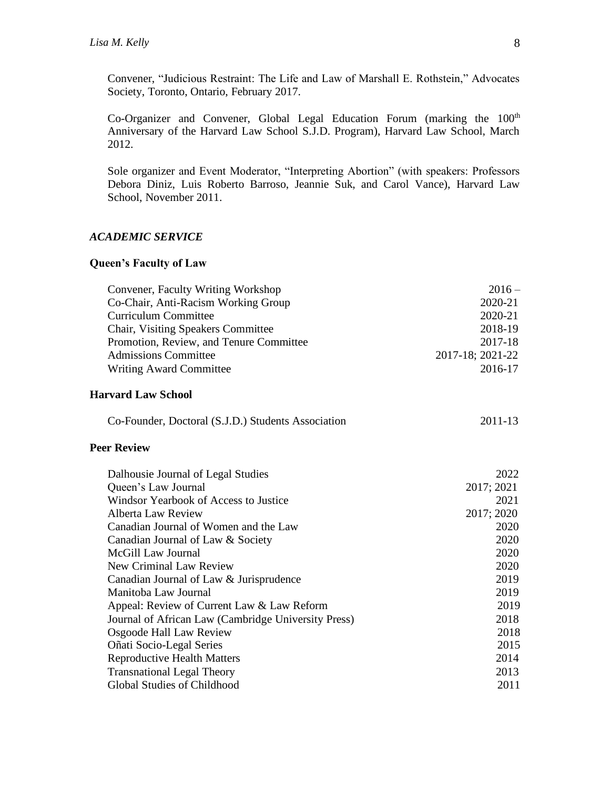Convener, "Judicious Restraint: The Life and Law of Marshall E. Rothstein," Advocates Society, Toronto, Ontario, February 2017.

Co-Organizer and Convener, Global Legal Education Forum (marking the  $100<sup>th</sup>$ Anniversary of the Harvard Law School S.J.D. Program), Harvard Law School, March 2012.

Sole organizer and Event Moderator, "Interpreting Abortion" (with speakers: Professors Debora Diniz, Luis Roberto Barroso, Jeannie Suk, and Carol Vance), Harvard Law School, November 2011.

## *ACADEMIC SERVICE*

## **Queen's Faculty of Law**

| Convener, Faculty Writing Workshop                  | $2016 -$         |
|-----------------------------------------------------|------------------|
| Co-Chair, Anti-Racism Working Group                 | 2020-21          |
| <b>Curriculum Committee</b>                         | 2020-21          |
| Chair, Visiting Speakers Committee                  | 2018-19          |
| Promotion, Review, and Tenure Committee             | 2017-18          |
| <b>Admissions Committee</b>                         | 2017-18; 2021-22 |
| <b>Writing Award Committee</b>                      | 2016-17          |
| <b>Harvard Law School</b>                           |                  |
| Co-Founder, Doctoral (S.J.D.) Students Association  | 2011-13          |
| <b>Peer Review</b>                                  |                  |
| Dalhousie Journal of Legal Studies                  | 2022             |
| Queen's Law Journal                                 | 2017; 2021       |
| Windsor Yearbook of Access to Justice               | 2021             |
| <b>Alberta Law Review</b>                           | 2017; 2020       |
| Canadian Journal of Women and the Law               | 2020             |
| Canadian Journal of Law & Society                   | 2020             |
| McGill Law Journal                                  | 2020             |
| New Criminal Law Review                             | 2020             |
| Canadian Journal of Law & Jurisprudence             | 2019             |
| Manitoba Law Journal                                | 2019             |
| Appeal: Review of Current Law & Law Reform          | 2019             |
| Journal of African Law (Cambridge University Press) | 2018             |
| Osgoode Hall Law Review                             | 2018             |
| Oñati Socio-Legal Series                            | 2015             |
| <b>Reproductive Health Matters</b>                  | 2014             |
| <b>Transnational Legal Theory</b>                   | 2013             |
| Global Studies of Childhood                         | 2011             |